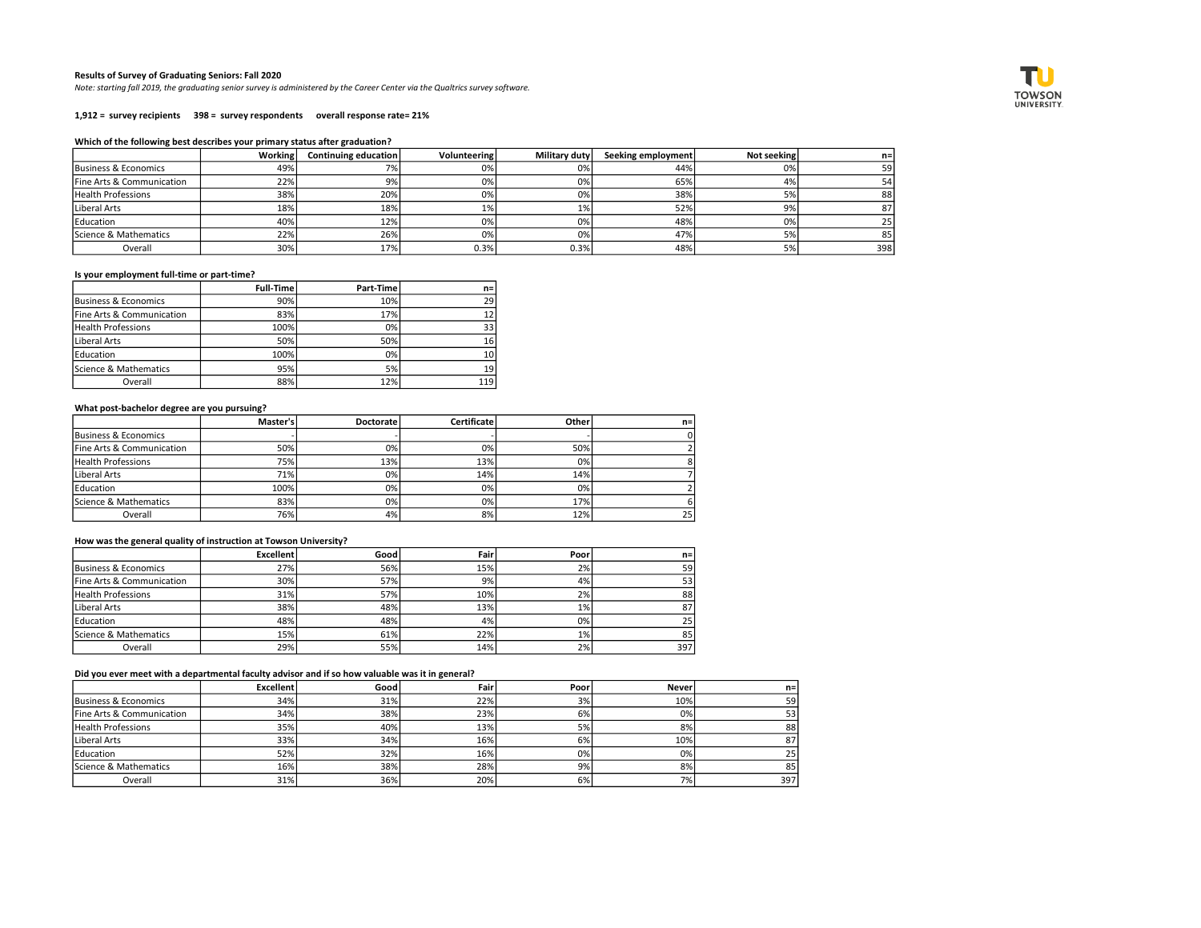### Results of Survey of Graduating Seniors: Fall 2020

Note: starting fall 2019, the graduating senior survey is administered by the Career Center via the Qualtrics survey software.

1,912 = survey recipients 398 = survey respondents overall response rate= 21%

#### Which of the following best describes your primary status after graduation?

|                           | Working | Continuing education | Volunteering | <b>Military duty</b> | Seeking employment | Not seeking | n=  |
|---------------------------|---------|----------------------|--------------|----------------------|--------------------|-------------|-----|
| Business & Economics      | 49%     |                      | 0%           | 0%                   | 44%                | 0%          | 59  |
| Fine Arts & Communication | 22%     | 9%                   | 0%           | 0%                   | 65%                | 4%          | 54  |
| <b>Health Professions</b> | 38%     | 20%                  | 0%           | 0%                   | 38%                | 5%          | 88  |
| Liberal Arts              | 18%     | 18%                  | 1%           | 1%                   | 52%                | 9%          | 87  |
| Education                 | 40%     | 12%                  | 0%           | 0%                   | 48%                | 0%          | 25' |
| Science & Mathematics     | 22%     | 26%                  | 0%           | $0\%$                | 47%                | 5%          | 85  |
| Overall                   | 30%     | 17%                  | 0.3%         | 0.3%                 | 48%                | 5%          | 398 |

# Is your employment full-time or part-time?

|                           | Full-Time | Part-Time | $n=1$           |
|---------------------------|-----------|-----------|-----------------|
| Business & Economics      | 90%       | 10%       | 29 <sup>1</sup> |
| Fine Arts & Communication | 83%       | 17%       | 12              |
| <b>Health Professions</b> | 100%      | 0%        | 33              |
| Liberal Arts              | 50%       | 50%       | <b>16</b>       |
| Education                 | 100%      | 0%        | 10              |
| Science & Mathematics     | 95%       | 5%        | 19              |
| Overall                   | 88%       | 12%       | 119             |

### What post-bachelor degree are you pursuing?

|                           | Master's | <b>Doctorate</b> | <b>Certificate</b> | Otheri | $n =$ |
|---------------------------|----------|------------------|--------------------|--------|-------|
| Business & Economics      |          |                  |                    |        |       |
| Fine Arts & Communication | 50%l     | 0%               | 0%                 | 50%    |       |
| <b>Health Professions</b> | 75%      | 13%              | 13%                | 0%     |       |
| Liberal Arts              | 71%      | 0%               | 14%                | 14%    |       |
| Education                 | 100%     | 0%               | 0%                 | 0%     |       |
| Science & Mathematics     | 83%      | 0%               | 0%                 | 17%    |       |
| Overall                   | 76%l     | 4%               | 8%                 | 12%    | 25    |

# How was the general quality of instruction at Towson University?

|                           | <b>Excellent</b> | Good | Fair | Poor  | n=              |
|---------------------------|------------------|------|------|-------|-----------------|
| Business & Economics      | 27%              | 56%  | 15%  | 2%    | 59              |
| Fine Arts & Communication | 30%              | 57%  | 9%   | 4%    | 53              |
| <b>Health Professions</b> | 31%              | 57%  | 10%  | 2%    | 88              |
| Liberal Arts              | 38%              | 48%  | 13%  | 1%    | 87              |
| Education                 | 48%              | 48%  | 4%   | 0%    | 25 <sub>1</sub> |
| Science & Mathematics     | 15%l             | 61%  | 22%  | $1\%$ | 85              |
| Overall                   | 29%              | 55%  | 14%  | 2%    | 397             |

### Did you ever meet with a departmental faculty advisor and if so how valuable was it in general?

|                           | <b>Excellent</b> | Good | Fair | Poor | <b>Never</b> | $n =$ |
|---------------------------|------------------|------|------|------|--------------|-------|
| Business & Economics      | 34%              | 31%  | 22%  | 3%   | 10%          | 59    |
| Fine Arts & Communication | 34%              | 38%  | 23%  | 6%   | 0%           | 53    |
| <b>Health Professions</b> | 35%              | 40%  | 13%  | 5%   | 8%           | 88    |
| Liberal Arts              | 33%              | 34%  | 16%  | 6%   | 10%          | 87    |
| Education                 | 52%              | 32%  | 16%  | 0%   | 0%           | 25    |
| Science & Mathematics     | 16%              | 38%  | 28%  | 9%   | 8%           | 85    |
| Overall                   | 31%              | 36%  | 20%  | 6%   | 7%           | 397   |